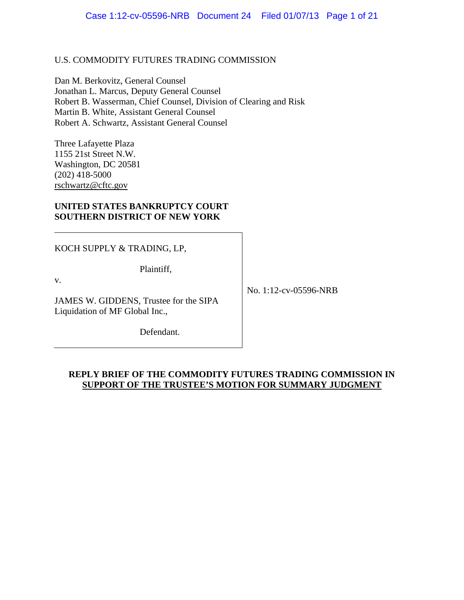## U.S. COMMODITY FUTURES TRADING COMMISSION

Dan M. Berkovitz, General Counsel Jonathan L. Marcus, Deputy General Counsel Robert B. Wasserman, Chief Counsel, Division of Clearing and Risk Martin B. White, Assistant General Counsel Robert A. Schwartz, Assistant General Counsel

Three Lafayette Plaza 1155 21st Street N.W. Washington, DC 20581 (202) 418-5000 rschwartz@cftc.gov

## **UNITED STATES BANKRUPTCY COURT SOUTHERN DISTRICT OF NEW YORK**

KOCH SUPPLY & TRADING, LP,

Plaintiff,

v.

JAMES W. GIDDENS, Trustee for the SIPA Liquidation of MF Global Inc.,

No. 1:12-cv-05596-NRB

Defendant.

## **REPLY BRIEF OF THE COMMODITY FUTURES TRADING COMMISSION IN SUPPORT OF THE TRUSTEE'S MOTION FOR SUMMARY JUDGMENT**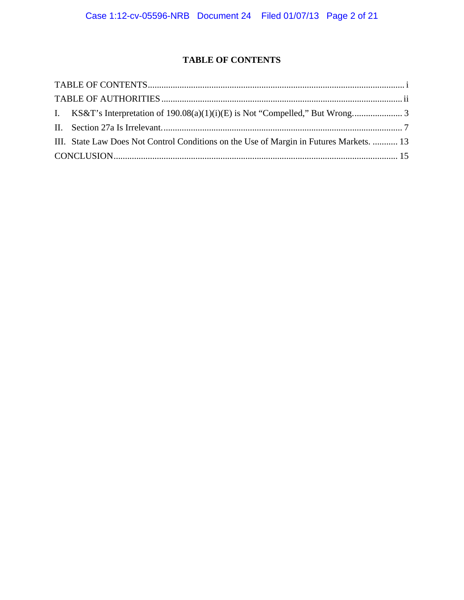# **TABLE OF CONTENTS**

| III. State Law Does Not Control Conditions on the Use of Margin in Futures Markets.  13 |  |
|-----------------------------------------------------------------------------------------|--|
|                                                                                         |  |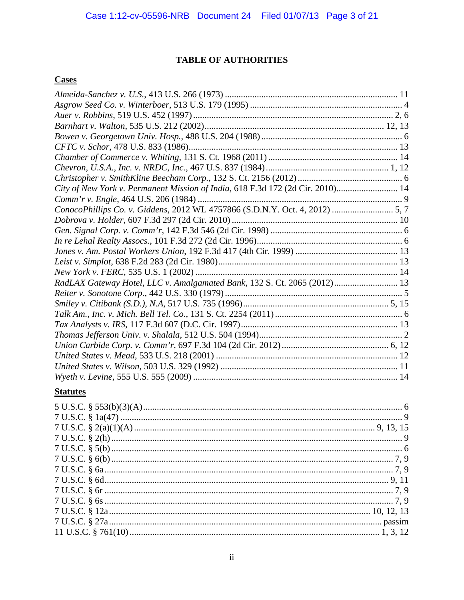# **TABLE OF AUTHORITIES**

## **Cases**

| City of New York v. Permanent Mission of India, 618 F.3d 172 (2d Cir. 2010) 14 |  |
|--------------------------------------------------------------------------------|--|
|                                                                                |  |
| ConocoPhillips Co. v. Giddens, 2012 WL 4757866 (S.D.N.Y. Oct. 4, 2012)  5, 7   |  |
|                                                                                |  |
|                                                                                |  |
|                                                                                |  |
|                                                                                |  |
|                                                                                |  |
|                                                                                |  |
| RadLAX Gateway Hotel, LLC v. Amalgamated Bank, 132 S. Ct. 2065 (2012) 13       |  |
|                                                                                |  |
|                                                                                |  |
|                                                                                |  |
|                                                                                |  |
|                                                                                |  |
|                                                                                |  |
|                                                                                |  |
|                                                                                |  |
|                                                                                |  |

# **Statutes**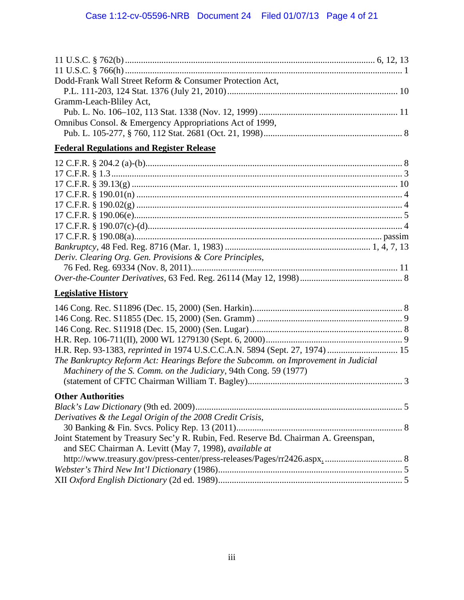| Dodd-Frank Wall Street Reform & Consumer Protection Act,                            |  |
|-------------------------------------------------------------------------------------|--|
|                                                                                     |  |
| Gramm-Leach-Bliley Act,                                                             |  |
| Omnibus Consol. & Emergency Appropriations Act of 1999,                             |  |
|                                                                                     |  |
| <b>Federal Regulations and Register Release</b>                                     |  |
|                                                                                     |  |
|                                                                                     |  |
|                                                                                     |  |
|                                                                                     |  |
|                                                                                     |  |
|                                                                                     |  |
|                                                                                     |  |
|                                                                                     |  |
|                                                                                     |  |
| Deriv. Clearing Org. Gen. Provisions & Core Principles,                             |  |
|                                                                                     |  |
|                                                                                     |  |
|                                                                                     |  |
| <b>Legislative History</b>                                                          |  |
|                                                                                     |  |
|                                                                                     |  |
|                                                                                     |  |
|                                                                                     |  |
| H.R. Rep. 93-1383, reprinted in 1974 U.S.C.C.A.N. 5894 (Sept. 27, 1974)  15         |  |
| The Bankruptcy Reform Act: Hearings Before the Subcomm. on Improvement in Judicial  |  |
| Machinery of the S. Comm. on the Judiciary, 94th Cong. 59 (1977)                    |  |
|                                                                                     |  |
| <b>Other Authorities</b>                                                            |  |
|                                                                                     |  |
| Derivatives & the Legal Origin of the 2008 Credit Crisis,                           |  |
|                                                                                     |  |
| Joint Statement by Treasury Sec'y R. Rubin, Fed. Reserve Bd. Chairman A. Greenspan, |  |
| and SEC Chairman A. Levitt (May 7, 1998), available at                              |  |
|                                                                                     |  |
|                                                                                     |  |
|                                                                                     |  |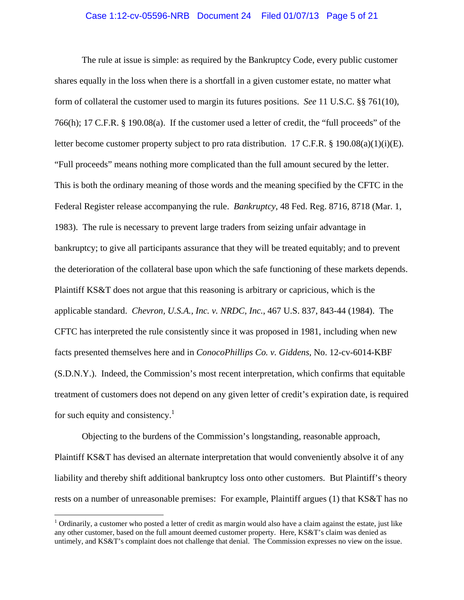#### Case 1:12-cv-05596-NRB Document 24 Filed 01/07/13 Page 5 of 21

The rule at issue is simple: as required by the Bankruptcy Code, every public customer shares equally in the loss when there is a shortfall in a given customer estate, no matter what form of collateral the customer used to margin its futures positions. *See* 11 U.S.C. §§ 761(10), 766(h); 17 C.F.R. § 190.08(a). If the customer used a letter of credit, the "full proceeds" of the letter become customer property subject to pro rata distribution. 17 C.F.R. § 190.08(a)(1)(i)(E). "Full proceeds" means nothing more complicated than the full amount secured by the letter. This is both the ordinary meaning of those words and the meaning specified by the CFTC in the Federal Register release accompanying the rule. *Bankruptcy*, 48 Fed. Reg. 8716, 8718 (Mar. 1, 1983). The rule is necessary to prevent large traders from seizing unfair advantage in bankruptcy; to give all participants assurance that they will be treated equitably; and to prevent the deterioration of the collateral base upon which the safe functioning of these markets depends. Plaintiff KS&T does not argue that this reasoning is arbitrary or capricious, which is the applicable standard. *Chevron, U.S.A., Inc. v. NRDC, Inc.*, 467 U.S. 837, 843-44 (1984). The CFTC has interpreted the rule consistently since it was proposed in 1981, including when new facts presented themselves here and in *ConocoPhillips Co. v. Giddens*, No. 12-cv-6014-KBF (S.D.N.Y.). Indeed, the Commission's most recent interpretation, which confirms that equitable treatment of customers does not depend on any given letter of credit's expiration date, is required for such equity and consistency.<sup>1</sup>

Objecting to the burdens of the Commission's longstanding, reasonable approach, Plaintiff KS&T has devised an alternate interpretation that would conveniently absolve it of any liability and thereby shift additional bankruptcy loss onto other customers. But Plaintiff's theory rests on a number of unreasonable premises: For example, Plaintiff argues (1) that KS&T has no

 $1$  Ordinarily, a customer who posted a letter of credit as margin would also have a claim against the estate, just like any other customer, based on the full amount deemed customer property. Here, KS&T's claim was denied as untimely, and KS&T's complaint does not challenge that denial. The Commission expresses no view on the issue.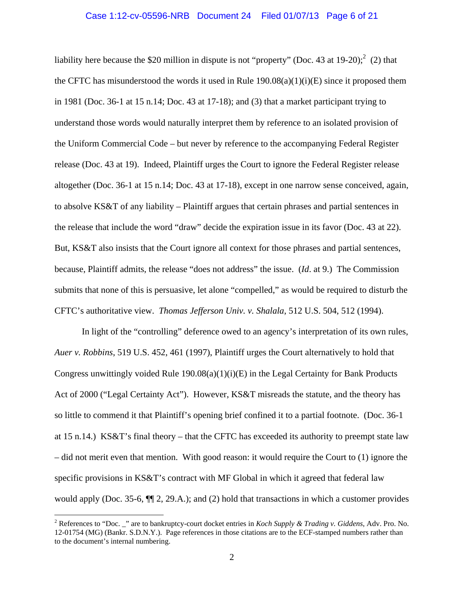#### Case 1:12-cv-05596-NRB Document 24 Filed 01/07/13 Page 6 of 21

liability here because the \$20 million in dispute is not "property" (Doc. 43 at 19-20);  $\binom{2}{2}$  that the CFTC has misunderstood the words it used in Rule  $190.08(a)(1)(i)(E)$  since it proposed them in 1981 (Doc. 36-1 at 15 n.14; Doc. 43 at 17-18); and (3) that a market participant trying to understand those words would naturally interpret them by reference to an isolated provision of the Uniform Commercial Code – but never by reference to the accompanying Federal Register release (Doc. 43 at 19). Indeed, Plaintiff urges the Court to ignore the Federal Register release altogether (Doc. 36-1 at 15 n.14; Doc. 43 at 17-18), except in one narrow sense conceived, again, to absolve KS&T of any liability – Plaintiff argues that certain phrases and partial sentences in the release that include the word "draw" decide the expiration issue in its favor (Doc. 43 at 22). But, KS&T also insists that the Court ignore all context for those phrases and partial sentences, because, Plaintiff admits, the release "does not address" the issue. (*Id*. at 9.) The Commission submits that none of this is persuasive, let alone "compelled," as would be required to disturb the CFTC's authoritative view. *Thomas Jefferson Univ. v. Shalala*, 512 U.S. 504, 512 (1994).

In light of the "controlling" deference owed to an agency's interpretation of its own rules, *Auer v. Robbins*, 519 U.S. 452, 461 (1997), Plaintiff urges the Court alternatively to hold that Congress unwittingly voided Rule  $190.08(a)(1)(i)(E)$  in the Legal Certainty for Bank Products Act of 2000 ("Legal Certainty Act"). However, KS&T misreads the statute, and the theory has so little to commend it that Plaintiff's opening brief confined it to a partial footnote. (Doc. 36-1 at 15 n.14.) KS&T's final theory – that the CFTC has exceeded its authority to preempt state law – did not merit even that mention. With good reason: it would require the Court to (1) ignore the specific provisions in KS&T's contract with MF Global in which it agreed that federal law would apply (Doc. 35-6, ¶¶ 2, 29.A.); and (2) hold that transactions in which a customer provides

<sup>2</sup> References to "Doc. \_" are to bankruptcy-court docket entries in *Koch Supply & Trading v. Giddens*, Adv. Pro. No. 12-01754 (MG) (Bankr. S.D.N.Y.). Page references in those citations are to the ECF-stamped numbers rather than to the document's internal numbering.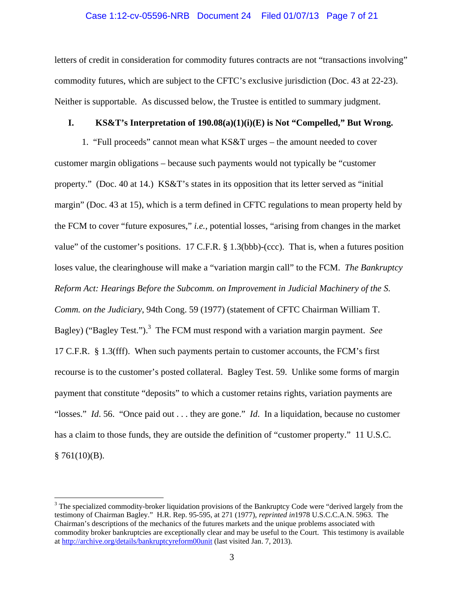### Case 1:12-cv-05596-NRB Document 24 Filed 01/07/13 Page 7 of 21

letters of credit in consideration for commodity futures contracts are not "transactions involving" commodity futures, which are subject to the CFTC's exclusive jurisdiction (Doc. 43 at 22-23). Neither is supportable. As discussed below, the Trustee is entitled to summary judgment.

## **I. KS&T's Interpretation of 190.08(a)(1)(i)(E) is Not "Compelled," But Wrong.**

1. "Full proceeds" cannot mean what KS&T urges – the amount needed to cover customer margin obligations – because such payments would not typically be "customer property." (Doc. 40 at 14.) KS&T's states in its opposition that its letter served as "initial margin" (Doc. 43 at 15), which is a term defined in CFTC regulations to mean property held by the FCM to cover "future exposures," *i.e.*, potential losses, "arising from changes in the market value" of the customer's positions. 17 C.F.R. § 1.3(bbb)-(ccc). That is, when a futures position loses value, the clearinghouse will make a "variation margin call" to the FCM. *The Bankruptcy Reform Act: Hearings Before the Subcomm. on Improvement in Judicial Machinery of the S. Comm. on the Judiciary*, 94th Cong. 59 (1977) (statement of CFTC Chairman William T. Bagley) ("Bagley Test.").<sup>3</sup> The FCM must respond with a variation margin payment. *See* 17 C.F.R. § 1.3(fff). When such payments pertain to customer accounts, the FCM's first recourse is to the customer's posted collateral. Bagley Test. 59. Unlike some forms of margin payment that constitute "deposits" to which a customer retains rights, variation payments are "losses." *Id*. 56. "Once paid out . . . they are gone." *Id*. In a liquidation, because no customer has a claim to those funds, they are outside the definition of "customer property." 11 U.S.C.  $§ 761(10)(B).$ 

 $3$  The specialized commodity-broker liquidation provisions of the Bankruptcy Code were "derived largely from the testimony of Chairman Bagley." H.R. Rep. 95-595, at 271 (1977), *reprinted in*1978 U.S.C.C.A.N. 5963. The Chairman's descriptions of the mechanics of the futures markets and the unique problems associated with commodity broker bankruptcies are exceptionally clear and may be useful to the Court. This testimony is available at http://archive.org/details/bankruptcyreform00unit (last visited Jan. 7, 2013).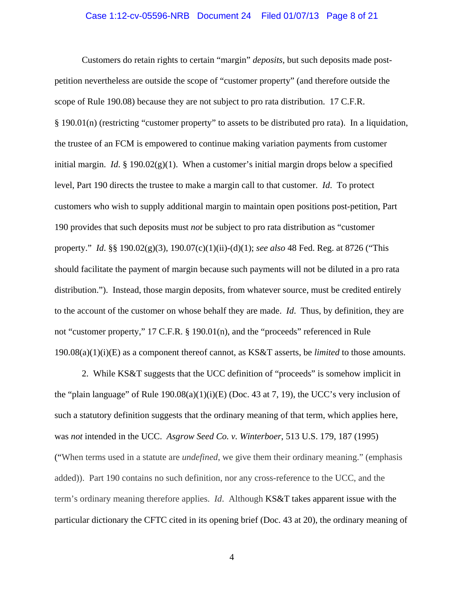#### Case 1:12-cv-05596-NRB Document 24 Filed 01/07/13 Page 8 of 21

Customers do retain rights to certain "margin" *deposits*, but such deposits made postpetition nevertheless are outside the scope of "customer property" (and therefore outside the scope of Rule 190.08) because they are not subject to pro rata distribution. 17 C.F.R. § 190.01(n) (restricting "customer property" to assets to be distributed pro rata). In a liquidation, the trustee of an FCM is empowered to continue making variation payments from customer initial margin. *Id.* § 190.02 $(g)(1)$ . When a customer's initial margin drops below a specified level, Part 190 directs the trustee to make a margin call to that customer. *Id*. To protect customers who wish to supply additional margin to maintain open positions post-petition, Part 190 provides that such deposits must *not* be subject to pro rata distribution as "customer property." *Id*. §§ 190.02(g)(3), 190.07(c)(1)(ii)-(d)(1); *see also* 48 Fed. Reg. at 8726 ("This should facilitate the payment of margin because such payments will not be diluted in a pro rata distribution."). Instead, those margin deposits, from whatever source, must be credited entirely to the account of the customer on whose behalf they are made. *Id*. Thus, by definition, they are not "customer property," 17 C.F.R. § 190.01(n), and the "proceeds" referenced in Rule 190.08(a)(1)(i)(E) as a component thereof cannot, as KS&T asserts, be *limited* to those amounts.

2. While KS&T suggests that the UCC definition of "proceeds" is somehow implicit in the "plain language" of Rule 190.08(a)(1)(i)(E) (Doc. 43 at 7, 19), the UCC's very inclusion of such a statutory definition suggests that the ordinary meaning of that term, which applies here, was *not* intended in the UCC. *Asgrow Seed Co. v. Winterboer*, 513 U.S. 179, 187 (1995) ("When terms used in a statute are *undefined*, we give them their ordinary meaning." (emphasis added)). Part 190 contains no such definition, nor any cross-reference to the UCC, and the term's ordinary meaning therefore applies. *Id*. Although KS&T takes apparent issue with the particular dictionary the CFTC cited in its opening brief (Doc. 43 at 20), the ordinary meaning of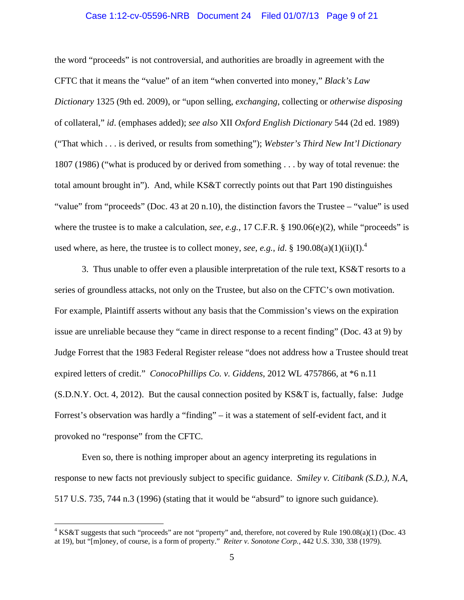#### Case 1:12-cv-05596-NRB Document 24 Filed 01/07/13 Page 9 of 21

the word "proceeds" is not controversial, and authorities are broadly in agreement with the CFTC that it means the "value" of an item "when converted into money," *Black's Law Dictionary* 1325 (9th ed. 2009), or "upon selling, *exchanging*, collecting or *otherwise disposing*  of collateral," *id*. (emphases added); *see also* XII *Oxford English Dictionary* 544 (2d ed. 1989) ("That which . . . is derived, or results from something"); *Webster's Third New Int'l Dictionary* 1807 (1986) ("what is produced by or derived from something . . . by way of total revenue: the total amount brought in"). And, while KS&T correctly points out that Part 190 distinguishes "value" from "proceeds" (Doc. 43 at 20 n.10), the distinction favors the Trustee – "value" is used where the trustee is to make a calculation, *see, e.g.*, 17 C.F.R. § 190.06(e)(2), while "proceeds" is used where, as here, the trustee is to collect money, *see*, *e.g.*, *id.* § 190.08(a)(1)(ii)(I).<sup>4</sup>

3. Thus unable to offer even a plausible interpretation of the rule text, KS&T resorts to a series of groundless attacks, not only on the Trustee, but also on the CFTC's own motivation. For example, Plaintiff asserts without any basis that the Commission's views on the expiration issue are unreliable because they "came in direct response to a recent finding" (Doc. 43 at 9) by Judge Forrest that the 1983 Federal Register release "does not address how a Trustee should treat expired letters of credit." *ConocoPhillips Co. v. Giddens*, 2012 WL 4757866, at \*6 n.11 (S.D.N.Y. Oct. 4, 2012). But the causal connection posited by KS&T is, factually, false: Judge Forrest's observation was hardly a "finding" – it was a statement of self-evident fact, and it provoked no "response" from the CFTC.

Even so, there is nothing improper about an agency interpreting its regulations in response to new facts not previously subject to specific guidance. *Smiley v. Citibank (S.D.), N.A*, 517 U.S. 735, 744 n.3 (1996) (stating that it would be "absurd" to ignore such guidance).

 $4 KS&T$  suggests that such "proceeds" are not "property" and, therefore, not covered by Rule 190.08(a)(1) (Doc. 43 at 19), but "[m]oney, of course, is a form of property." *Reiter v. Sonotone Corp.*, 442 U.S. 330, 338 (1979).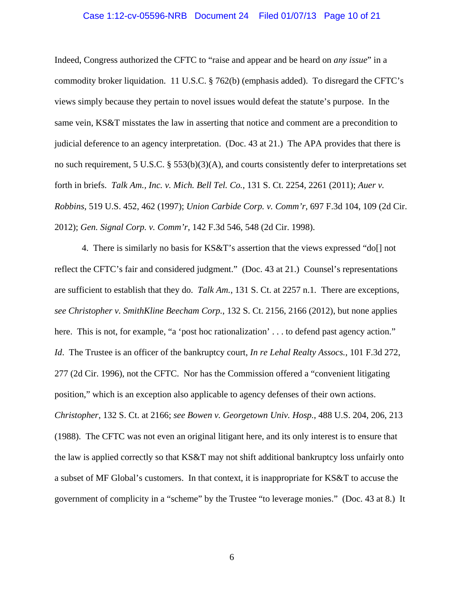#### Case 1:12-cv-05596-NRB Document 24 Filed 01/07/13 Page 10 of 21

Indeed, Congress authorized the CFTC to "raise and appear and be heard on *any issue*" in a commodity broker liquidation. 11 U.S.C. § 762(b) (emphasis added). To disregard the CFTC's views simply because they pertain to novel issues would defeat the statute's purpose. In the same vein, KS&T misstates the law in asserting that notice and comment are a precondition to judicial deference to an agency interpretation. (Doc. 43 at 21.) The APA provides that there is no such requirement, 5 U.S.C. § 553(b)(3)(A), and courts consistently defer to interpretations set forth in briefs. *Talk Am., Inc. v. Mich. Bell Tel. Co.*, 131 S. Ct. 2254, 2261 (2011); *Auer v. Robbins*, 519 U.S. 452, 462 (1997); *Union Carbide Corp. v. Comm'r*, 697 F.3d 104, 109 (2d Cir. 2012); *Gen. Signal Corp. v. Comm'r*, 142 F.3d 546, 548 (2d Cir. 1998).

4. There is similarly no basis for KS&T's assertion that the views expressed "do[] not reflect the CFTC's fair and considered judgment." (Doc. 43 at 21.) Counsel's representations are sufficient to establish that they do. *Talk Am.*, 131 S. Ct. at 2257 n.1*.* There are exceptions, *see Christopher v. SmithKline Beecham Corp.*, 132 S. Ct. 2156, 2166 (2012), but none applies here. This is not, for example, "a 'post hoc rationalization' . . . to defend past agency action." *Id*. The Trustee is an officer of the bankruptcy court, *In re Lehal Realty Assocs.*, 101 F.3d 272, 277 (2d Cir. 1996), not the CFTC. Nor has the Commission offered a "convenient litigating position," which is an exception also applicable to agency defenses of their own actions. *Christopher*, 132 S. Ct. at 2166; *see Bowen v. Georgetown Univ. Hosp.*, 488 U.S. 204, 206, 213 (1988). The CFTC was not even an original litigant here, and its only interest is to ensure that the law is applied correctly so that KS&T may not shift additional bankruptcy loss unfairly onto a subset of MF Global's customers. In that context, it is inappropriate for KS&T to accuse the government of complicity in a "scheme" by the Trustee "to leverage monies." (Doc. 43 at 8.) It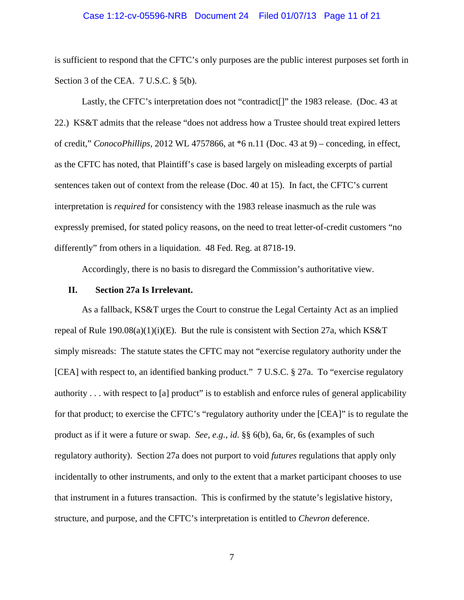#### Case 1:12-cv-05596-NRB Document 24 Filed 01/07/13 Page 11 of 21

is sufficient to respond that the CFTC's only purposes are the public interest purposes set forth in Section 3 of the CEA. 7 U.S.C. § 5(b).

Lastly, the CFTC's interpretation does not "contradict<sup>[]"</sup> the 1983 release. (Doc. 43 at 22.) KS&T admits that the release "does not address how a Trustee should treat expired letters of credit," *ConocoPhillips*, 2012 WL 4757866, at \*6 n.11 (Doc. 43 at 9) – conceding, in effect, as the CFTC has noted, that Plaintiff's case is based largely on misleading excerpts of partial sentences taken out of context from the release (Doc. 40 at 15). In fact, the CFTC's current interpretation is *required* for consistency with the 1983 release inasmuch as the rule was expressly premised, for stated policy reasons, on the need to treat letter-of-credit customers "no differently" from others in a liquidation. 48 Fed. Reg. at 8718-19.

Accordingly, there is no basis to disregard the Commission's authoritative view.

#### **II. Section 27a Is Irrelevant.**

 As a fallback, KS&T urges the Court to construe the Legal Certainty Act as an implied repeal of Rule  $190.08(a)(1)(i)(E)$ . But the rule is consistent with Section 27a, which KS&T simply misreads: The statute states the CFTC may not "exercise regulatory authority under the [CEA] with respect to, an identified banking product." 7 U.S.C. § 27a. To "exercise regulatory authority . . . with respect to [a] product" is to establish and enforce rules of general applicability for that product; to exercise the CFTC's "regulatory authority under the [CEA]" is to regulate the product as if it were a future or swap. *See, e.g.*, *id*. §§ 6(b), 6a, 6r, 6s (examples of such regulatory authority). Section 27a does not purport to void *futures* regulations that apply only incidentally to other instruments, and only to the extent that a market participant chooses to use that instrument in a futures transaction. This is confirmed by the statute's legislative history, structure, and purpose, and the CFTC's interpretation is entitled to *Chevron* deference.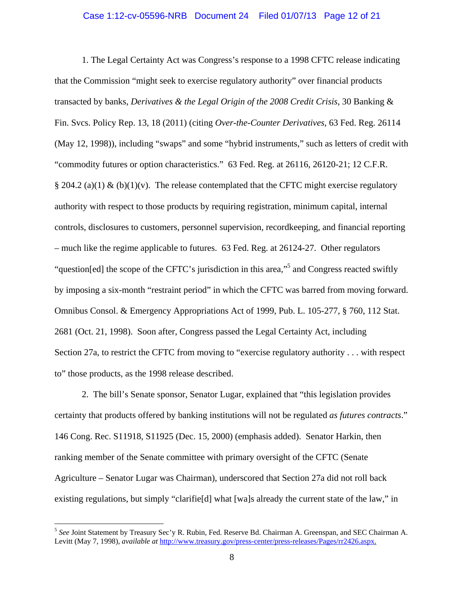#### Case 1:12-cv-05596-NRB Document 24 Filed 01/07/13 Page 12 of 21

1. The Legal Certainty Act was Congress's response to a 1998 CFTC release indicating that the Commission "might seek to exercise regulatory authority" over financial products transacted by banks, *Derivatives & the Legal Origin of the 2008 Credit Crisis*, 30 Banking & Fin. Svcs. Policy Rep. 13, 18 (2011) (citing *Over-the-Counter Derivatives*, 63 Fed. Reg. 26114 (May 12, 1998)), including "swaps" and some "hybrid instruments," such as letters of credit with "commodity futures or option characteristics." 63 Fed. Reg. at 26116, 26120-21; 12 C.F.R. § 204.2 (a)(1) & (b)(1)(v). The release contemplated that the CFTC might exercise regulatory authority with respect to those products by requiring registration, minimum capital, internal controls, disclosures to customers, personnel supervision, recordkeeping, and financial reporting – much like the regime applicable to futures. 63 Fed. Reg. at 26124-27. Other regulators "question[ed] the scope of the CFTC's jurisdiction in this area,"<sup>5</sup> and Congress reacted swiftly by imposing a six-month "restraint period" in which the CFTC was barred from moving forward. Omnibus Consol. & Emergency Appropriations Act of 1999, Pub. L. 105-277, § 760, 112 Stat. 2681 (Oct. 21, 1998). Soon after, Congress passed the Legal Certainty Act, including Section 27a, to restrict the CFTC from moving to "exercise regulatory authority . . . with respect to" those products, as the 1998 release described.

2. The bill's Senate sponsor, Senator Lugar, explained that "this legislation provides certainty that products offered by banking institutions will not be regulated *as futures contracts*." 146 Cong. Rec. S11918, S11925 (Dec. 15, 2000) (emphasis added). Senator Harkin, then ranking member of the Senate committee with primary oversight of the CFTC (Senate Agriculture – Senator Lugar was Chairman), underscored that Section 27a did not roll back existing regulations, but simply "clarifie[d] what [wa]s already the current state of the law," in

<sup>5</sup> *See* Joint Statement by Treasury Sec'y R. Rubin, Fed. Reserve Bd. Chairman A. Greenspan, and SEC Chairman A. Levitt (May 7, 1998), *available at* http://www.treasury.gov/press-center/press-releases/Pages/rr2426.aspx.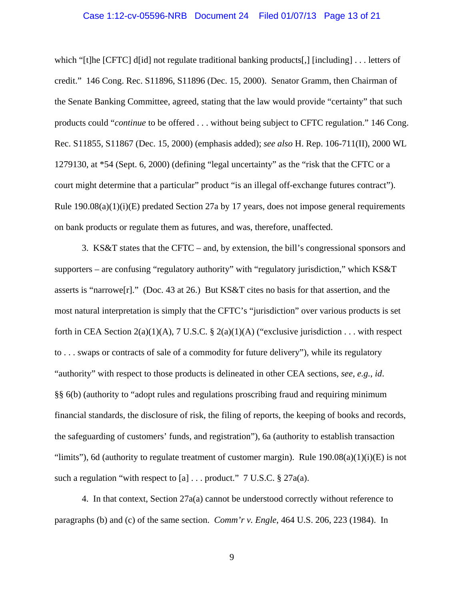#### Case 1:12-cv-05596-NRB Document 24 Filed 01/07/13 Page 13 of 21

which "[t]he [CFTC] d[id] not regulate traditional banking products[,] [including] . . . letters of credit." 146 Cong. Rec. S11896, S11896 (Dec. 15, 2000). Senator Gramm, then Chairman of the Senate Banking Committee, agreed, stating that the law would provide "certainty" that such products could "*continue* to be offered . . . without being subject to CFTC regulation." 146 Cong. Rec. S11855, S11867 (Dec. 15, 2000) (emphasis added); *see also* H. Rep. 106-711(II), 2000 WL 1279130, at \*54 (Sept. 6, 2000) (defining "legal uncertainty" as the "risk that the CFTC or a court might determine that a particular" product "is an illegal off-exchange futures contract"). Rule  $190.08(a)(1)(i)(E)$  predated Section 27a by 17 years, does not impose general requirements on bank products or regulate them as futures, and was, therefore, unaffected.

3. KS&T states that the CFTC – and, by extension, the bill's congressional sponsors and supporters – are confusing "regulatory authority" with "regulatory jurisdiction," which KS&T asserts is "narrowe[r]." (Doc. 43 at 26.) But KS&T cites no basis for that assertion, and the most natural interpretation is simply that the CFTC's "jurisdiction" over various products is set forth in CEA Section  $2(a)(1)(A)$ , 7 U.S.C. §  $2(a)(1)(A)$  ("exclusive jurisdiction . . . with respect to . . . swaps or contracts of sale of a commodity for future delivery"), while its regulatory "authority" with respect to those products is delineated in other CEA sections, *see, e.g.*, *id*. §§ 6(b) (authority to "adopt rules and regulations proscribing fraud and requiring minimum financial standards, the disclosure of risk, the filing of reports, the keeping of books and records, the safeguarding of customers' funds, and registration"), 6a (authority to establish transaction "limits"), 6d (authority to regulate treatment of customer margin). Rule  $190.08(a)(1)(i)(E)$  is not such a regulation "with respect to [a]  $\ldots$  product." 7 U.S.C. § 27a(a).

4. In that context, Section 27a(a) cannot be understood correctly without reference to paragraphs (b) and (c) of the same section. *Comm'r v. Engle*, 464 U.S. 206, 223 (1984). In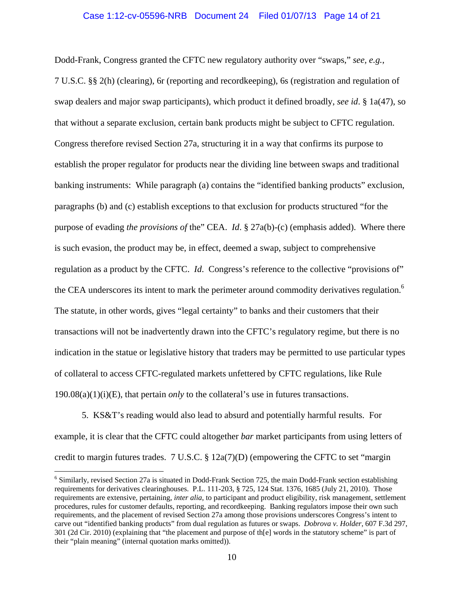#### Case 1:12-cv-05596-NRB Document 24 Filed 01/07/13 Page 14 of 21

Dodd-Frank, Congress granted the CFTC new regulatory authority over "swaps," *see, e.g.*, 7 U.S.C. §§ 2(h) (clearing), 6r (reporting and recordkeeping), 6s (registration and regulation of swap dealers and major swap participants), which product it defined broadly, *see id*. § 1a(47), so that without a separate exclusion, certain bank products might be subject to CFTC regulation. Congress therefore revised Section 27a, structuring it in a way that confirms its purpose to establish the proper regulator for products near the dividing line between swaps and traditional banking instruments: While paragraph (a) contains the "identified banking products" exclusion, paragraphs (b) and (c) establish exceptions to that exclusion for products structured "for the purpose of evading *the provisions of* the" CEA. *Id*. § 27a(b)-(c) (emphasis added). Where there is such evasion, the product may be, in effect, deemed a swap, subject to comprehensive regulation as a product by the CFTC. *Id*. Congress's reference to the collective "provisions of" the CEA underscores its intent to mark the perimeter around commodity derivatives regulation.<sup>6</sup> The statute, in other words, gives "legal certainty" to banks and their customers that their transactions will not be inadvertently drawn into the CFTC's regulatory regime, but there is no indication in the statue or legislative history that traders may be permitted to use particular types of collateral to access CFTC-regulated markets unfettered by CFTC regulations, like Rule  $190.08(a)(1)(i)(E)$ , that pertain *only* to the collateral's use in futures transactions.

5. KS&T's reading would also lead to absurd and potentially harmful results. For example, it is clear that the CFTC could altogether *bar* market participants from using letters of credit to margin futures trades. 7 U.S.C.  $\S$  12a(7)(D) (empowering the CFTC to set "margin

<sup>&</sup>lt;sup>6</sup> Similarly, revised Section 27a is situated in Dodd-Frank Section 725, the main Dodd-Frank section establishing requirements for derivatives clearinghouses. P.L. 111-203, § 725, 124 Stat. 1376, 1685 (July 21, 2010). Those requirements are extensive, pertaining, *inter alia*, to participant and product eligibility, risk management, settlement procedures, rules for customer defaults, reporting, and recordkeeping. Banking regulators impose their own such requirements, and the placement of revised Section 27a among those provisions underscores Congress's intent to carve out "identified banking products" from dual regulation as futures or swaps. *Dobrova v. Holder*, 607 F.3d 297, 301 (2d Cir. 2010) (explaining that "the placement and purpose of th[e] words in the statutory scheme" is part of their "plain meaning" (internal quotation marks omitted)).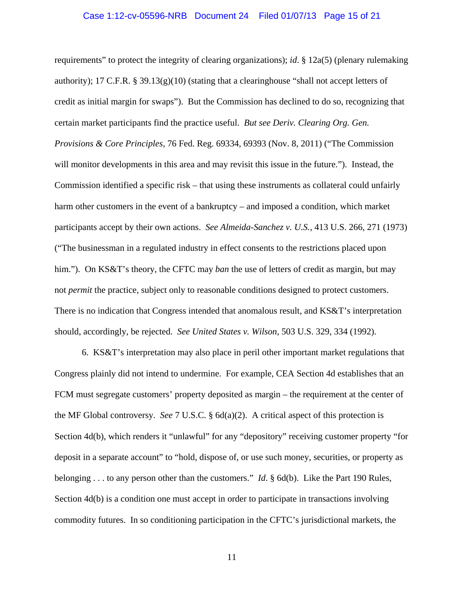#### Case 1:12-cv-05596-NRB Document 24 Filed 01/07/13 Page 15 of 21

requirements" to protect the integrity of clearing organizations); *id*. § 12a(5) (plenary rulemaking authority); 17 C.F.R. § 39.13(g)(10) (stating that a clearinghouse "shall not accept letters of credit as initial margin for swaps"). But the Commission has declined to do so, recognizing that certain market participants find the practice useful. *But see Deriv. Clearing Org. Gen. Provisions & Core Principles*, 76 Fed. Reg. 69334, 69393 (Nov. 8, 2011) ("The Commission will monitor developments in this area and may revisit this issue in the future."). Instead, the Commission identified a specific risk – that using these instruments as collateral could unfairly harm other customers in the event of a bankruptcy – and imposed a condition, which market participants accept by their own actions. *See Almeida-Sanchez v. U.S.*, 413 U.S. 266, 271 (1973) ("The businessman in a regulated industry in effect consents to the restrictions placed upon him."). On KS&T's theory, the CFTC may *ban* the use of letters of credit as margin, but may not *permit* the practice, subject only to reasonable conditions designed to protect customers. There is no indication that Congress intended that anomalous result, and KS&T's interpretation should, accordingly, be rejected. *See United States v. Wilson*, 503 U.S. 329, 334 (1992).

6. KS&T's interpretation may also place in peril other important market regulations that Congress plainly did not intend to undermine. For example, CEA Section 4d establishes that an FCM must segregate customers' property deposited as margin – the requirement at the center of the MF Global controversy. *See* 7 U.S.C. § 6d(a)(2). A critical aspect of this protection is Section 4d(b), which renders it "unlawful" for any "depository" receiving customer property "for deposit in a separate account" to "hold, dispose of, or use such money, securities, or property as belonging . . . to any person other than the customers." *Id*. § 6d(b). Like the Part 190 Rules, Section 4d(b) is a condition one must accept in order to participate in transactions involving commodity futures. In so conditioning participation in the CFTC's jurisdictional markets, the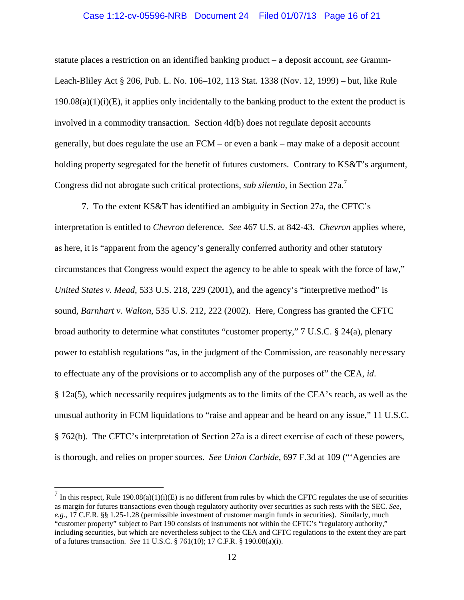#### Case 1:12-cv-05596-NRB Document 24 Filed 01/07/13 Page 16 of 21

statute places a restriction on an identified banking product – a deposit account, *see* Gramm-Leach-Bliley Act § 206, Pub. L. No. 106–102, 113 Stat. 1338 (Nov. 12, 1999) – but, like Rule  $190.08(a)(1)(i)(E)$ , it applies only incidentally to the banking product to the extent the product is involved in a commodity transaction. Section 4d(b) does not regulate deposit accounts generally, but does regulate the use an FCM – or even a bank – may make of a deposit account holding property segregated for the benefit of futures customers. Contrary to KS&T's argument, Congress did not abrogate such critical protections, *sub silentio*, in Section 27a.<sup>7</sup>

 7. To the extent KS&T has identified an ambiguity in Section 27a, the CFTC's interpretation is entitled to *Chevron* deference. *See* 467 U.S. at 842-43. *Chevron* applies where, as here, it is "apparent from the agency's generally conferred authority and other statutory circumstances that Congress would expect the agency to be able to speak with the force of law," *United States v. Mead*, 533 U.S. 218, 229 (2001), and the agency's "interpretive method" is sound, *Barnhart v. Walton*, 535 U.S. 212, 222 (2002). Here, Congress has granted the CFTC broad authority to determine what constitutes "customer property," 7 U.S.C. § 24(a), plenary power to establish regulations "as, in the judgment of the Commission, are reasonably necessary to effectuate any of the provisions or to accomplish any of the purposes of" the CEA, *id*. § 12a(5), which necessarily requires judgments as to the limits of the CEA's reach, as well as the unusual authority in FCM liquidations to "raise and appear and be heard on any issue," 11 U.S.C. § 762(b). The CFTC's interpretation of Section 27a is a direct exercise of each of these powers, is thorough, and relies on proper sources. *See Union Carbide*, 697 F.3d at 109 ("'Agencies are

 $^7$  In this respect, Rule 190.08(a)(1)(i)(E) is no different from rules by which the CFTC regulates the use of securities as margin for futures transactions even though regulatory authority over securities as such rests with the SEC. *See*, *e.g.*, 17 C.F.R. §§ 1.25-1.28 (permissible investment of customer margin funds in securities). Similarly, much "customer property" subject to Part 190 consists of instruments not within the CFTC's "regulatory authority," including securities, but which are nevertheless subject to the CEA and CFTC regulations to the extent they are part of a futures transaction. *See* 11 U.S.C. § 761(10); 17 C.F.R. § 190.08(a)(i).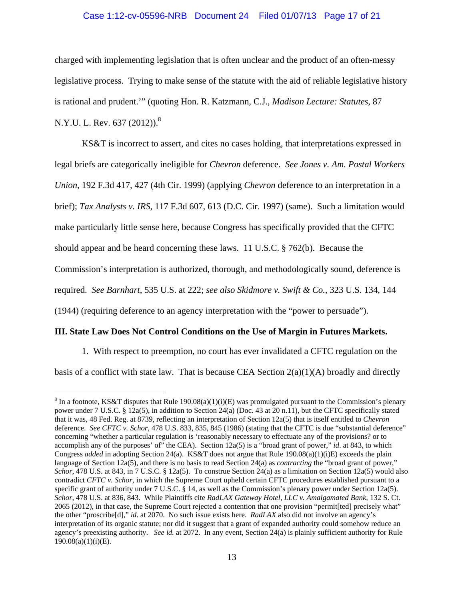### Case 1:12-cv-05596-NRB Document 24 Filed 01/07/13 Page 17 of 21

charged with implementing legislation that is often unclear and the product of an often-messy legislative process. Trying to make sense of the statute with the aid of reliable legislative history is rational and prudent.'" (quoting Hon. R. Katzmann, C.J., *Madison Lecture: Statutes*, 87 N.Y.U. L. Rev. 637 (2012)).<sup>8</sup>

KS&T is incorrect to assert, and cites no cases holding, that interpretations expressed in legal briefs are categorically ineligible for *Chevron* deference. *See Jones v. Am. Postal Workers Union*, 192 F.3d 417, 427 (4th Cir. 1999) (applying *Chevron* deference to an interpretation in a brief); *Tax Analysts v. IRS*, 117 F.3d 607, 613 (D.C. Cir. 1997) (same). Such a limitation would make particularly little sense here, because Congress has specifically provided that the CFTC should appear and be heard concerning these laws. 11 U.S.C. § 762(b). Because the Commission's interpretation is authorized, thorough, and methodologically sound, deference is required. *See Barnhart*, 535 U.S. at 222; *see also Skidmore v. Swift & Co.*, 323 U.S. 134, 144 (1944) (requiring deference to an agency interpretation with the "power to persuade").

## **III. State Law Does Not Control Conditions on the Use of Margin in Futures Markets.**

 1. With respect to preemption, no court has ever invalidated a CFTC regulation on the basis of a conflict with state law. That is because CEA Section  $2(a)(1)(A)$  broadly and directly

 $\overline{a}$ <sup>8</sup> In a footnote, KS&T disputes that Rule 190.08(a)(1)(i)(E) was promulgated pursuant to the Commission's plenary power under 7 U.S.C. § 12a(5), in addition to Section 24(a) (Doc. 43 at 20 n.11), but the CFTC specifically stated that it was, 48 Fed. Reg. at 8739, reflecting an interpretation of Section 12a(5) that is itself entitled to *Chevron* deference. *See CFTC v. Schor*, 478 U.S. 833, 835, 845 (1986) (stating that the CFTC is due "substantial deference" concerning "whether a particular regulation is 'reasonably necessary to effectuate any of the provisions? or to accomplish any of the purposes' of" the CEA). Section 12a(5) is a "broad grant of power," *id*. at 843, to which Congress *added* in adopting Section 24(a). KS&T does not argue that Rule 190.08(a)(1)(i)E) exceeds the plain language of Section 12a(5), and there is no basis to read Section 24(a) as *contracting* the "broad grant of power," *Schor*, 478 U.S. at 843, in 7 U.S.C. § 12a(5). To construe Section 24(a) as a limitation on Section 12a(5) would also contradict *CFTC v. Schor*, in which the Supreme Court upheld certain CFTC procedures established pursuant to a specific grant of authority under  $7 \text{ U.S.C.} \$  14, as well as the Commission's plenary power under Section 12a(5). *Schor*, 478 U.S. at 836, 843. While Plaintiffs cite *RadLAX Gateway Hotel, LLC v. Amalgamated Bank*, 132 S. Ct. 2065 (2012), in that case, the Supreme Court rejected a contention that one provision "permit[ted] precisely what" the other "proscribe[d]," *id*. at 2070. No such issue exists here. *RadLAX* also did not involve an agency's interpretation of its organic statute; nor did it suggest that a grant of expanded authority could somehow reduce an agency's preexisting authority. *See id.* at 2072. In any event, Section 24(a) is plainly sufficient authority for Rule  $190.08(a)(1)(i)(E)$ .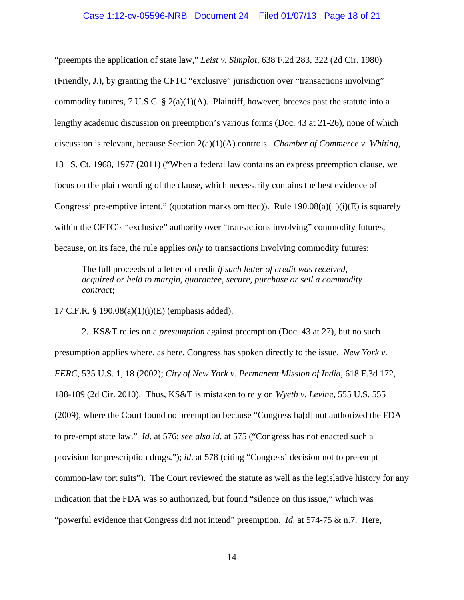#### Case 1:12-cv-05596-NRB Document 24 Filed 01/07/13 Page 18 of 21

"preempts the application of state law," *Leist v. Simplot*, 638 F.2d 283, 322 (2d Cir. 1980) (Friendly, J.), by granting the CFTC "exclusive" jurisdiction over "transactions involving" commodity futures, 7 U.S.C.  $\S 2(a)(1)(A)$ . Plaintiff, however, breezes past the statute into a lengthy academic discussion on preemption's various forms (Doc. 43 at 21-26), none of which discussion is relevant, because Section 2(a)(1)(A) controls. *Chamber of Commerce v. Whiting*, 131 S. Ct. 1968, 1977 (2011) ("When a federal law contains an express preemption clause, we focus on the plain wording of the clause, which necessarily contains the best evidence of Congress' pre-emptive intent." (quotation marks omitted)). Rule  $190.08(a)(1)(i)(E)$  is squarely within the CFTC's "exclusive" authority over "transactions involving" commodity futures, because, on its face, the rule applies *only* to transactions involving commodity futures:

The full proceeds of a letter of credit *if such letter of credit was received, acquired or held to margin, guarantee, secure, purchase or sell a commodity contract*;

17 C.F.R. § 190.08(a)(1)(i)(E) (emphasis added).

2. KS&T relies on a *presumption* against preemption (Doc. 43 at 27), but no such presumption applies where, as here, Congress has spoken directly to the issue. *New York v. FERC*, 535 U.S. 1, 18 (2002); *City of New York v. Permanent Mission of India*, 618 F.3d 172, 188-189 (2d Cir. 2010). Thus, KS&T is mistaken to rely on *Wyeth v. Levine*, 555 U.S. 555 (2009), where the Court found no preemption because "Congress ha[d] not authorized the FDA to pre-empt state law." *Id*. at 576; *see also id*. at 575 ("Congress has not enacted such a provision for prescription drugs."); *id*. at 578 (citing "Congress' decision not to pre-empt common-law tort suits"). The Court reviewed the statute as well as the legislative history for any indication that the FDA was so authorized, but found "silence on this issue," which was "powerful evidence that Congress did not intend" preemption. *Id*. at 574-75 & n.7. Here,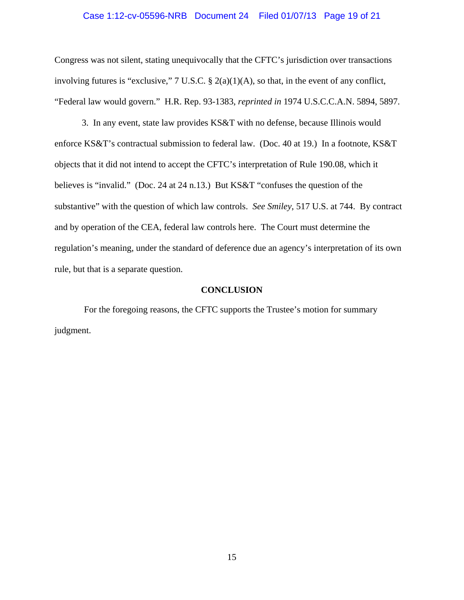#### Case 1:12-cv-05596-NRB Document 24 Filed 01/07/13 Page 19 of 21

Congress was not silent, stating unequivocally that the CFTC's jurisdiction over transactions involving futures is "exclusive," 7 U.S.C. § 2(a)(1)(A), so that, in the event of any conflict, "Federal law would govern." H.R. Rep. 93-1383, *reprinted in* 1974 U.S.C.C.A.N. 5894, 5897.

 3. In any event, state law provides KS&T with no defense, because Illinois would enforce KS&T's contractual submission to federal law. (Doc. 40 at 19.) In a footnote, KS&T objects that it did not intend to accept the CFTC's interpretation of Rule 190.08, which it believes is "invalid." (Doc. 24 at 24 n.13.) But KS&T "confuses the question of the substantive" with the question of which law controls. *See Smiley*, 517 U.S. at 744. By contract and by operation of the CEA, federal law controls here. The Court must determine the regulation's meaning, under the standard of deference due an agency's interpretation of its own rule, but that is a separate question.

#### **CONCLUSION**

 For the foregoing reasons, the CFTC supports the Trustee's motion for summary judgment.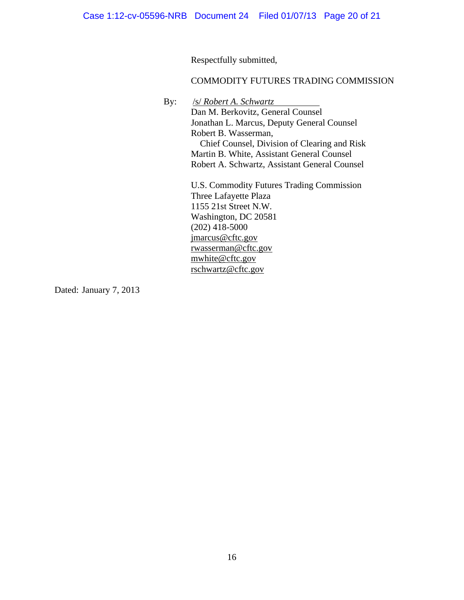Respectfully submitted,

## COMMODITY FUTURES TRADING COMMISSION

By: /s/ *Robert A. Schwartz*

Dan M. Berkovitz, General Counsel Jonathan L. Marcus, Deputy General Counsel Robert B. Wasserman, Chief Counsel, Division of Clearing and Risk Martin B. White, Assistant General Counsel Robert A. Schwartz, Assistant General Counsel

U.S. Commodity Futures Trading Commission Three Lafayette Plaza 1155 21st Street N.W. Washington, DC 20581 (202) 418-5000 jmarcus@cftc.gov rwasserman@cftc.gov mwhite@cftc.gov rschwartz@cftc.gov

Dated: January 7, 2013